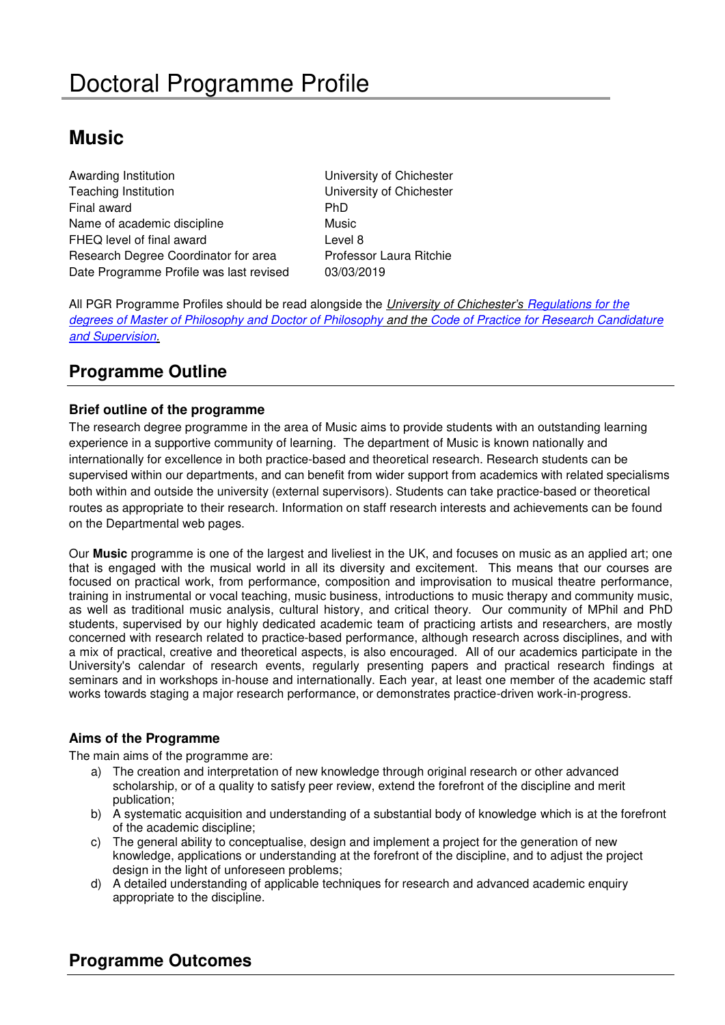# **Music**

Awarding Institution **National Executive Chichester** University of Chichester Teaching Institution University of Chichester Final award **PhD** Name of academic discipline Music FHEQ level of final award **Level 8** Research Degree Coordinator for area Professor Laura Ritchie Date Programme Profile was last revised 03/03/2019

All PGR Programme Profiles should be read alongside the University of Chichester*'s* [Regulations for the](https://www.chi.ac.uk/about-us/policies-and-statements/academic-and-student-support)  [degrees of Master of Philosophy and Doctor of Philosophy](https://www.chi.ac.uk/about-us/policies-and-statements/academic-and-student-support) and the [Code of Practice for Research Candidature](https://www.chi.ac.uk/about-us/policies-and-statements/academic-and-student-support)  [and Supervision.](https://www.chi.ac.uk/about-us/policies-and-statements/academic-and-student-support)

## **Programme Outline**

## **Brief outline of the programme**

The research degree programme in the area of Music aims to provide students with an outstanding learning experience in a supportive community of learning. The department of Music is known nationally and internationally for excellence in both practice-based and theoretical research. Research students can be supervised within our departments, and can benefit from wider support from academics with related specialisms both within and outside the university (external supervisors). Students can take practice-based or theoretical routes as appropriate to their research. Information on staff research interests and achievements can be found on the Departmental web pages.

Our **Music** programme is one of the largest and liveliest in the UK, and focuses on music as an applied art; one that is engaged with the musical world in all its diversity and excitement. This means that our courses are focused on practical work, from performance, composition and improvisation to musical theatre performance, training in instrumental or vocal teaching, music business, introductions to music therapy and community music, as well as traditional music analysis, cultural history, and critical theory. Our community of MPhil and PhD students, supervised by our highly dedicated academic team of practicing artists and researchers, are mostly concerned with research related to practice-based performance, although research across disciplines, and with a mix of practical, creative and theoretical aspects, is also encouraged. All of our academics participate in the University's calendar of research events, regularly presenting papers and practical research findings at seminars and in workshops in-house and internationally. Each year, at least one member of the academic staff works towards staging a major research performance, or demonstrates practice-driven work-in-progress.

### **Aims of the Programme**

The main aims of the programme are:

- a) The creation and interpretation of new knowledge through original research or other advanced scholarship, or of a quality to satisfy peer review, extend the forefront of the discipline and merit publication;
- b) A systematic acquisition and understanding of a substantial body of knowledge which is at the forefront of the academic discipline;
- c) The general ability to conceptualise, design and implement a project for the generation of new knowledge, applications or understanding at the forefront of the discipline, and to adjust the project design in the light of unforeseen problems;
- d) A detailed understanding of applicable techniques for research and advanced academic enquiry appropriate to the discipline.

## **Programme Outcomes**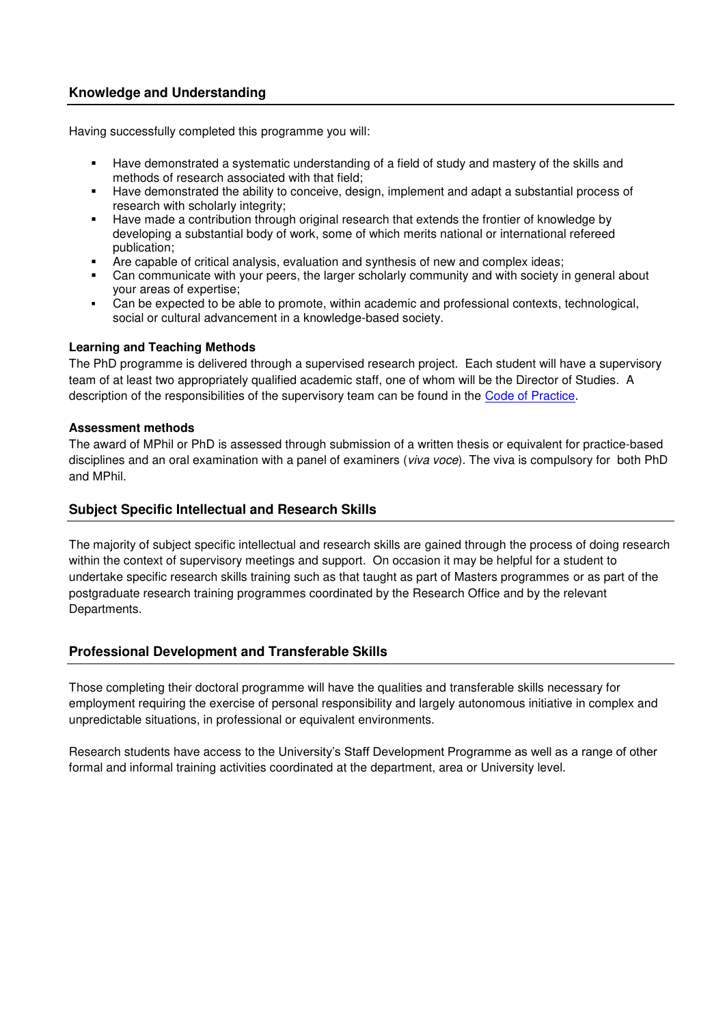#### **Knowledge and Understanding**

Having successfully completed this programme you will:

- Have demonstrated a systematic understanding of a field of study and mastery of the skills and methods of research associated with that field;
- Have demonstrated the ability to conceive, design, implement and adapt a substantial process of research with scholarly integrity;
- Have made a contribution through original research that extends the frontier of knowledge by developing a substantial body of work, some of which merits national or international refereed publication;
- Are capable of critical analysis, evaluation and synthesis of new and complex ideas;
- Can communicate with your peers, the larger scholarly community and with society in general about your areas of expertise;
- Can be expected to be able to promote, within academic and professional contexts, technological, social or cultural advancement in a knowledge-based society.

#### **Learning and Teaching Methods**

The PhD programme is delivered through a supervised research project. Each student will have a supervisory team of at least two appropriately qualified academic staff, one of whom will be the Director of Studies. A description of the responsibilities of the supervisory team can be found in the [Code of Practice.](http://d3mcbia3evjswv.cloudfront.net/files/Academic%20Board%2017%20Code%20of%20Practice%20for%20Research%20Candidature.pdf?3y1HrtDLYQ0M8uLsL.65i1fF_yx9snAE)

#### **Assessment methods**

The award of MPhil or PhD is assessed through submission of a written thesis or equivalent for practice-based disciplines and an oral examination with a panel of examiners (*viva voce*). The viva is compulsory for both PhD and MPhil.

#### **Subject Specific Intellectual and Research Skills**

The majority of subject specific intellectual and research skills are gained through the process of doing research within the context of supervisory meetings and support. On occasion it may be helpful for a student to undertake specific research skills training such as that taught as part of Masters programmes or as part of the postgraduate research training programmes coordinated by the Research Office and by the relevant Departments.

### **Professional Development and Transferable Skills**

Those completing their doctoral programme will have the qualities and transferable skills necessary for employment requiring the exercise of personal responsibility and largely autonomous initiative in complex and unpredictable situations, in professional or equivalent environments.

Research students have access to the University's Staff Development Programme as well as a range of other formal and informal training activities coordinated at the department, area or University level.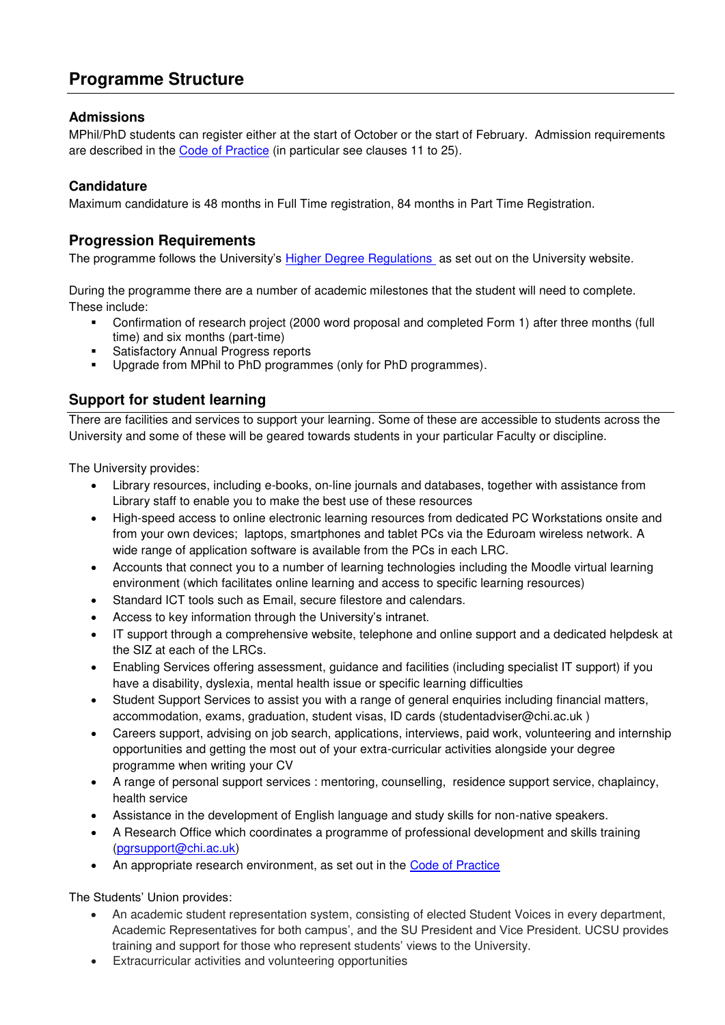## **Programme Structure**

## **Admissions**

MPhil/PhD students can register either at the start of October or the start of February. Admission requirements are described in the [Code of Practice](https://www.chi.ac.uk/about-us/policies-and-statements/academic-and-student-support) (in particular see clauses 11 to 25).

## **Candidature**

Maximum candidature is 48 months in Full Time registration, 84 months in Part Time Registration.

## **Progression Requirements**

The programme follows the University's [Higher Degree Regulations](hhttps://www.chi.ac.uk/about-us/policies-and-statements/academic-and-student-support) as set out on the University website.

During the programme there are a number of academic milestones that the student will need to complete. These include:

- Confirmation of research project (2000 word proposal and completed Form 1) after three months (full time) and six months (part-time)
- **Satisfactory Annual Progress reports**
- Upgrade from MPhil to PhD programmes (only for PhD programmes).

## **Support for student learning**

There are facilities and services to support your learning. Some of these are accessible to students across the University and some of these will be geared towards students in your particular Faculty or discipline.

The University provides:

- Library resources, including e-books, on-line journals and databases, together with assistance from Library staff to enable you to make the best use of these resources
- High-speed access to online electronic learning resources from dedicated PC Workstations onsite and from your own devices; laptops, smartphones and tablet PCs via the Eduroam wireless network. A wide range of application software is available from the PCs in each LRC.
- Accounts that connect you to a number of learning technologies including the Moodle virtual learning environment (which facilitates online learning and access to specific learning resources)
- Standard ICT tools such as Email, secure filestore and calendars.
- Access to key information through the University's intranet.
- IT support through a comprehensive website, telephone and online support and a dedicated helpdesk at the SIZ at each of the LRCs.
- Enabling Services offering assessment, guidance and facilities (including specialist IT support) if you have a disability, dyslexia, mental health issue or specific learning difficulties
- Student Support Services to assist you with a range of general enquiries including financial matters, accommodation, exams, graduation, student visas, ID cards (studentadviser@chi.ac.uk )
- Careers support, advising on job search, applications, interviews, paid work, volunteering and internship opportunities and getting the most out of your extra-curricular activities alongside your degree programme when writing your CV
- A range of personal support services : mentoring, counselling, residence support service, chaplaincy, health service
- Assistance in the development of English language and study skills for non-native speakers.
- A Research Office which coordinates a programme of professional development and skills training [\(pgrsupport@chi.ac.uk\)](mailto:pgrsupport@chi.ac.uk)
- An appropriate research environment, as set out in the [Code of Practice](hhttps://www.chi.ac.uk/about-us/policies-and-statements/academic-and-student-support)

The Students' Union provides:

- An academic student representation system, consisting of elected Student Voices in every department, Academic Representatives for both campus', and the SU President and Vice President. UCSU provides training and support for those who represent students' views to the University.
- Extracurricular activities and volunteering opportunities